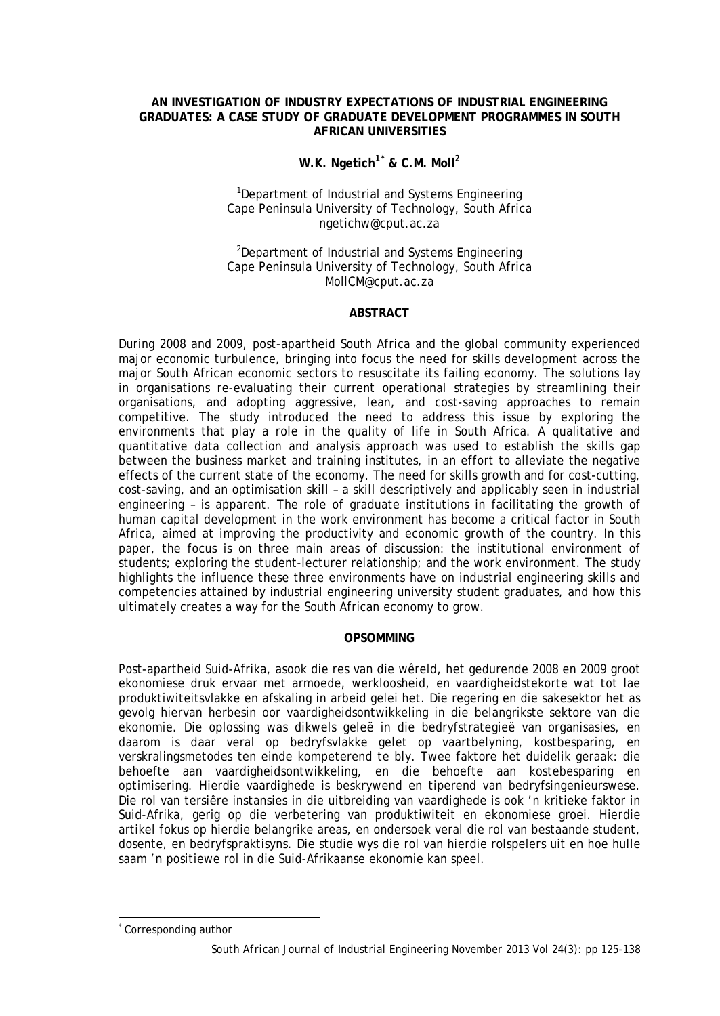#### **AN INVESTIGATION OF INDUSTRY EXPECTATIONS OF INDUSTRIAL ENGINEERING GRADUATES: A CASE STUDY OF GRADUATE DEVELOPMENT PROGRAMMES IN SOUTH AFRICAN UNIVERSITIES**

# **W.K. Ngetich1[\\*](#page-0-0) & C.M. Moll2**

#### <sup>1</sup>Department of Industrial and Systems Engineering Cape Peninsula University of Technology, South Africa ngetichw@cput.ac.za

<sup>2</sup>Department of Industrial and Systems Engineering Cape Peninsula University of Technology, South Africa MollCM@cput.ac.za

#### **ABSTRACT**

During 2008 and 2009, post-apartheid South Africa and the global community experienced major economic turbulence, bringing into focus the need for skills development across the major South African economic sectors to resuscitate its failing economy. The solutions lay in organisations re-evaluating their current operational strategies by streamlining their organisations, and adopting aggressive, lean, and cost-saving approaches to remain competitive. The study introduced the need to address this issue by exploring the environments that play a role in the quality of life in South Africa. A qualitative and quantitative data collection and analysis approach was used to establish the skills gap between the business market and training institutes, in an effort to alleviate the negative effects of the current state of the economy. The need for skills growth and for cost-cutting, cost-saving, and an optimisation skill – a skill descriptively and applicably seen in industrial engineering – is apparent. The role of graduate institutions in facilitating the growth of human capital development in the work environment has become a critical factor in South Africa, aimed at improving the productivity and economic growth of the country. In this paper, the focus is on three main areas of discussion: the institutional environment of students; exploring the student-lecturer relationship; and the work environment. The study highlights the influence these three environments have on industrial engineering skills and competencies attained by industrial engineering university student graduates, and how this ultimately creates a way for the South African economy to grow.

#### **OPSOMMING**

Post-apartheid Suid-Afrika, asook die res van die wêreld, het gedurende 2008 en 2009 groot ekonomiese druk ervaar met armoede, werkloosheid, en vaardigheidstekorte wat tot lae produktiwiteitsvlakke en afskaling in arbeid gelei het. Die regering en die sakesektor het as gevolg hiervan herbesin oor vaardigheidsontwikkeling in die belangrikste sektore van die ekonomie. Die oplossing was dikwels geleë in die bedryfstrategieë van organisasies, en daarom is daar veral op bedryfsvlakke gelet op vaartbelyning, kostbesparing, en verskralingsmetodes ten einde kompeterend te bly. Twee faktore het duidelik geraak: die behoefte aan vaardigheidsontwikkeling, en die behoefte aan kostebesparing en optimisering. Hierdie vaardighede is beskrywend en tiperend van bedryfsingenieurswese. Die rol van tersiêre instansies in die uitbreiding van vaardighede is ook 'n kritieke faktor in Suid-Afrika, gerig op die verbetering van produktiwiteit en ekonomiese groei. Hierdie artikel fokus op hierdie belangrike areas, en ondersoek veral die rol van bestaande student, dosente, en bedryfspraktisyns. Die studie wys die rol van hierdie rolspelers uit en hoe hulle saam 'n positiewe rol in die Suid-Afrikaanse ekonomie kan speel.

-

<span id="page-0-0"></span>Corresponding author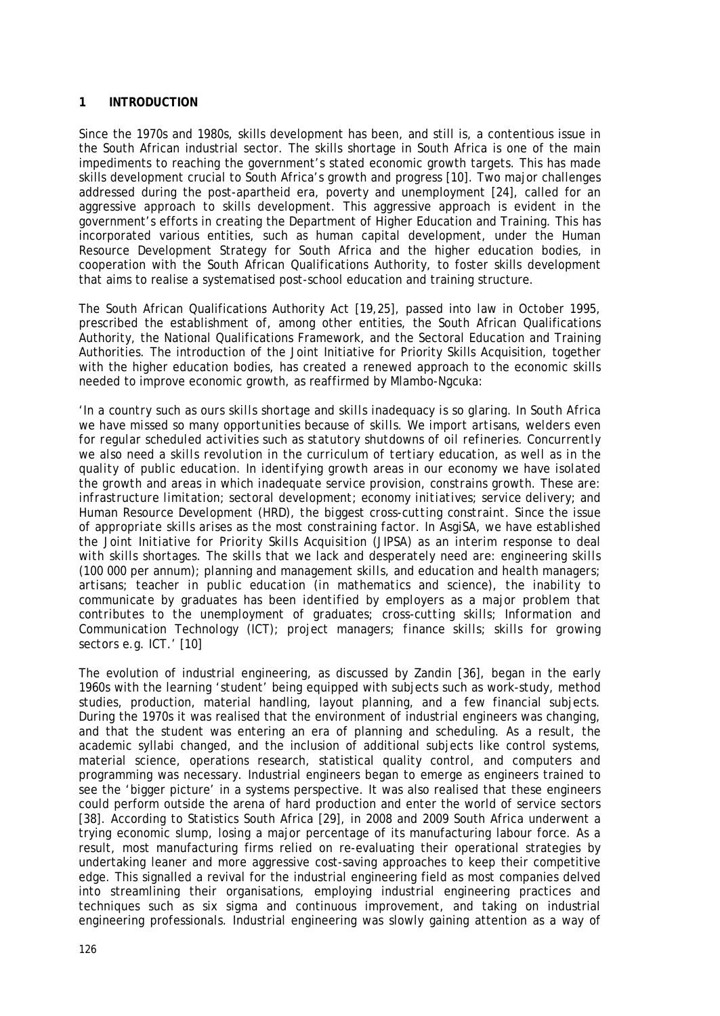#### **1 INTRODUCTION**

Since the 1970s and 1980s, skills development has been, and still is, a contentious issue in the South African industrial sector. The skills shortage in South Africa is one of the main impediments to reaching the government's stated economic growth targets. This has made skills development crucial to South Africa's growth and progress [10]. Two major challenges addressed during the post-apartheid era, poverty and unemployment [24], called for an aggressive approach to skills development. This aggressive approach is evident in the government's efforts in creating the Department of Higher Education and Training. This has incorporated various entities, such as human capital development, under the Human Resource Development Strategy for South Africa and the higher education bodies, in cooperation with the South African Qualifications Authority, to foster skills development that aims to realise a systematised post-school education and training structure.

The South African Qualifications Authority Act [19,25], passed into law in October 1995, prescribed the establishment of, among other entities, the South African Qualifications Authority, the National Qualifications Framework, and the Sectoral Education and Training Authorities. The introduction of the Joint Initiative for Priority Skills Acquisition, together with the higher education bodies, has created a renewed approach to the economic skills needed to improve economic growth, as reaffirmed by Mlambo-Ngcuka:

*'In a country such as ours skills shortage and skills inadequacy is so glaring. In South Africa we have missed so many opportunities because of skills. We import artisans, welders even for regular scheduled activities such as statutory shutdowns of oil refineries. Concurrently we also need a skills revolution in the curriculum of tertiary education, as well as in the quality of public education. In identifying growth areas in our economy we have isolated the growth and areas in which inadequate service provision, constrains growth. These are: infrastructure limitation; sectoral development; economy initiatives; service delivery; and Human Resource Development (HRD), the biggest cross-cutting constraint. Since the issue of appropriate skills arises as the most constraining factor. In AsgiSA, we have established the Joint Initiative for Priority Skills Acquisition (JIPSA) as an interim response to deal with skills shortages. The skills that we lack and desperately need are: engineering skills (100 000 per annum); planning and management skills, and education and health managers; artisans; teacher in public education (in mathematics and science), the inability to communicate by graduates has been identified by employers as a major problem that contributes to the unemployment of graduates; cross-cutting skills; Information and Communication Technology (ICT); project managers; finance skills; skills for growing sectors e.g. ICT.'* [10]

The evolution of industrial engineering, as discussed by Zandin [36], began in the early 1960s with the learning 'student' being equipped with subjects such as work-study, method studies, production, material handling, layout planning, and a few financial subjects. During the 1970s it was realised that the environment of industrial engineers was changing, and that the student was entering an era of planning and scheduling. As a result, the academic syllabi changed, and the inclusion of additional subjects like control systems, material science, operations research, statistical quality control, and computers and programming was necessary. Industrial engineers began to emerge as engineers trained to see the 'bigger picture' in a systems perspective. It was also realised that these engineers could perform outside the arena of hard production and enter the world of service sectors [38]. According to Statistics South Africa [29], in 2008 and 2009 South Africa underwent a trying economic slump, losing a major percentage of its manufacturing labour force. As a result, most manufacturing firms relied on re-evaluating their operational strategies by undertaking leaner and more aggressive cost-saving approaches to keep their competitive edge. This signalled a revival for the industrial engineering field as most companies delved into streamlining their organisations, employing industrial engineering practices and techniques such as six sigma and continuous improvement, and taking on industrial engineering professionals. Industrial engineering was slowly gaining attention as a way of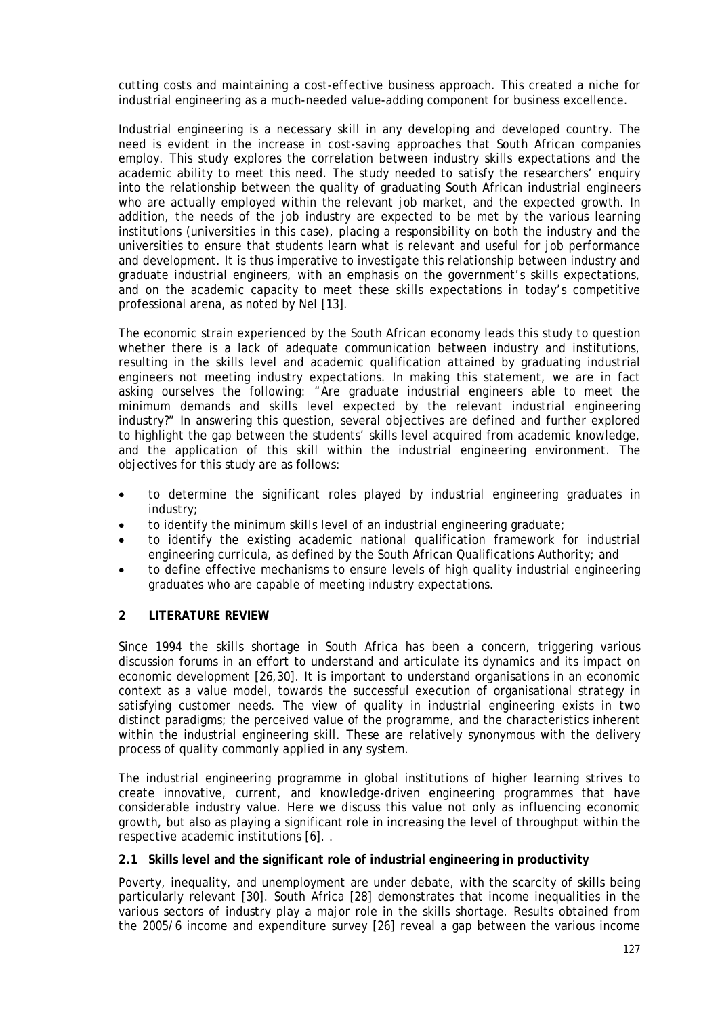cutting costs and maintaining a cost-effective business approach. This created a niche for industrial engineering as a much-needed value-adding component for business excellence.

Industrial engineering is a necessary skill in any developing and developed country. The need is evident in the increase in cost-saving approaches that South African companies employ. This study explores the correlation between industry skills expectations and the academic ability to meet this need. The study needed to satisfy the researchers' enquiry into the relationship between the quality of graduating South African industrial engineers who are actually employed within the relevant job market, and the expected growth. In addition, the needs of the job industry are expected to be met by the various learning institutions (universities in this case), placing a responsibility on both the industry and the universities to ensure that students learn what is relevant and useful for job performance and development. It is thus imperative to investigate this relationship between industry and graduate industrial engineers, with an emphasis on the government's skills expectations, and on the academic capacity to meet these skills expectations in today's competitive professional arena, as noted by Nel [13].

The economic strain experienced by the South African economy leads this study to question whether there is a lack of adequate communication between industry and institutions, resulting in the skills level and academic qualification attained by graduating industrial engineers not meeting industry expectations. In making this statement, we are in fact asking ourselves the following: "Are graduate industrial engineers able to meet the minimum demands and skills level expected by the relevant industrial engineering industry?" In answering this question, several objectives are defined and further explored to highlight the gap between the students' skills level acquired from academic knowledge, and the application of this skill within the industrial engineering environment. The objectives for this study are as follows:

- to determine the significant roles played by industrial engineering graduates in industry;
- to identify the minimum skills level of an industrial engineering graduate;
- to identify the existing academic national qualification framework for industrial engineering curricula, as defined by the South African Qualifications Authority; and
- to define effective mechanisms to ensure levels of high quality industrial engineering graduates who are capable of meeting industry expectations.

#### **2 LITERATURE REVIEW**

Since 1994 the skills shortage in South Africa has been a concern, triggering various discussion forums in an effort to understand and articulate its dynamics and its impact on economic development [26,30]. It is important to understand organisations in an economic context as a value model, towards the successful execution of organisational strategy in satisfying customer needs. The view of quality in industrial engineering exists in two distinct paradigms; the perceived value of the programme, and the characteristics inherent within the industrial engineering skill. These are relatively synonymous with the delivery process of quality commonly applied in any system.

The industrial engineering programme in global institutions of higher learning strives to create innovative, current, and knowledge-driven engineering programmes that have considerable industry value. Here we discuss this value not only as influencing economic growth, but also as playing a significant role in increasing the level of throughput within the respective academic institutions [6]. .

#### **2.1 Skills level and the significant role of industrial engineering in productivity**

Poverty, inequality, and unemployment are under debate, with the scarcity of skills being particularly relevant [30]. South Africa [28] demonstrates that income inequalities in the various sectors of industry play a major role in the skills shortage. Results obtained from the 2005/6 income and expenditure survey [26] reveal a gap between the various income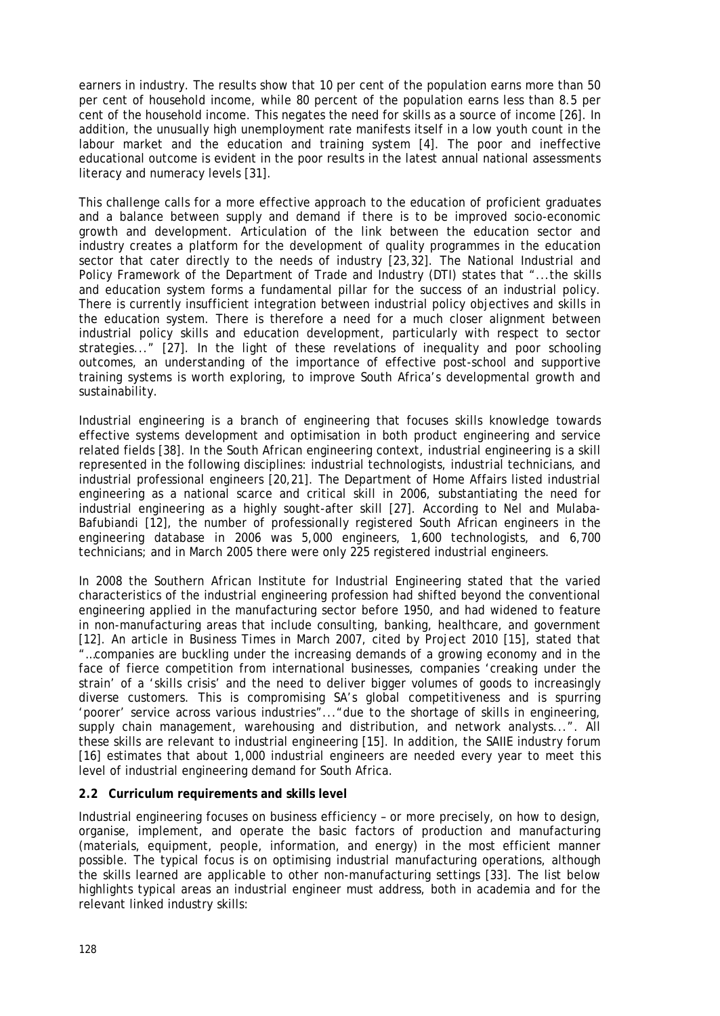earners in industry. The results show that 10 per cent of the population earns more than 50 per cent of household income, while 80 percent of the population earns less than 8.5 per cent of the household income. This negates the need for skills as a source of income [26]. In addition, the unusually high unemployment rate manifests itself in a low youth count in the labour market and the education and training system [4]. The poor and ineffective educational outcome is evident in the poor results in the latest annual national assessments literacy and numeracy levels [31].

This challenge calls for a more effective approach to the education of proficient graduates and a balance between supply and demand if there is to be improved socio-economic growth and development. Articulation of the link between the education sector and industry creates a platform for the development of quality programmes in the education sector that cater directly to the needs of industry [23,32]. The National Industrial and Policy Framework of the Department of Trade and Industry (DTI) states that "...the skills and education system forms a fundamental pillar for the success of an industrial policy. There is currently insufficient integration between industrial policy objectives and skills in the education system. There is therefore a need for a much closer alignment between industrial policy skills and education development, particularly with respect to sector strategies..." [27]. In the light of these revelations of inequality and poor schooling outcomes, an understanding of the importance of effective post-school and supportive training systems is worth exploring, to improve South Africa's developmental growth and sustainability.

Industrial engineering is a branch of engineering that focuses skills knowledge towards effective systems development and optimisation in both product engineering and service related fields [38]. In the South African engineering context, industrial engineering is a skill represented in the following disciplines: industrial technologists, industrial technicians, and industrial professional engineers [20,21]. The Department of Home Affairs listed industrial engineering as a national scarce and critical skill in 2006, substantiating the need for industrial engineering as a highly sought-after skill [27]. According to Nel and Mulaba-Bafubiandi [12], the number of professionally registered South African engineers in the engineering database in 2006 was 5,000 engineers, 1,600 technologists, and 6,700 technicians; and in March 2005 there were only 225 registered industrial engineers.

In 2008 the Southern African Institute for Industrial Engineering stated that the varied characteristics of the industrial engineering profession had shifted beyond the conventional engineering applied in the manufacturing sector before 1950, and had widened to feature in non-manufacturing areas that include consulting, banking, healthcare, and government [12]. An article in *Business Times* in March 2007, cited by Project 2010 [15], stated that "…companies are buckling under the increasing demands of a growing economy and in the face of fierce competition from international businesses, companies 'creaking under the strain' of a 'skills crisis' and the need to deliver bigger volumes of goods to increasingly diverse customers. This is compromising SA's global competitiveness and is spurring 'poorer' service across various industries"..."due to the shortage of skills in engineering, supply chain management, warehousing and distribution, and network analysts...". All these skills are relevant to industrial engineering [15]. In addition, the SAIIE industry forum [16] estimates that about 1,000 industrial engineers are needed every year to meet this level of industrial engineering demand for South Africa.

#### **2.2 Curriculum requirements and skills level**

Industrial engineering focuses on business efficiency – or more precisely, on how to design, organise, implement, and operate the basic factors of production and manufacturing (materials, equipment, people, information, and energy) in the most efficient manner possible. The typical focus is on optimising industrial manufacturing operations, although the skills learned are applicable to other non-manufacturing settings [33]. The list below highlights typical areas an industrial engineer must address, both in academia and for the relevant linked industry skills: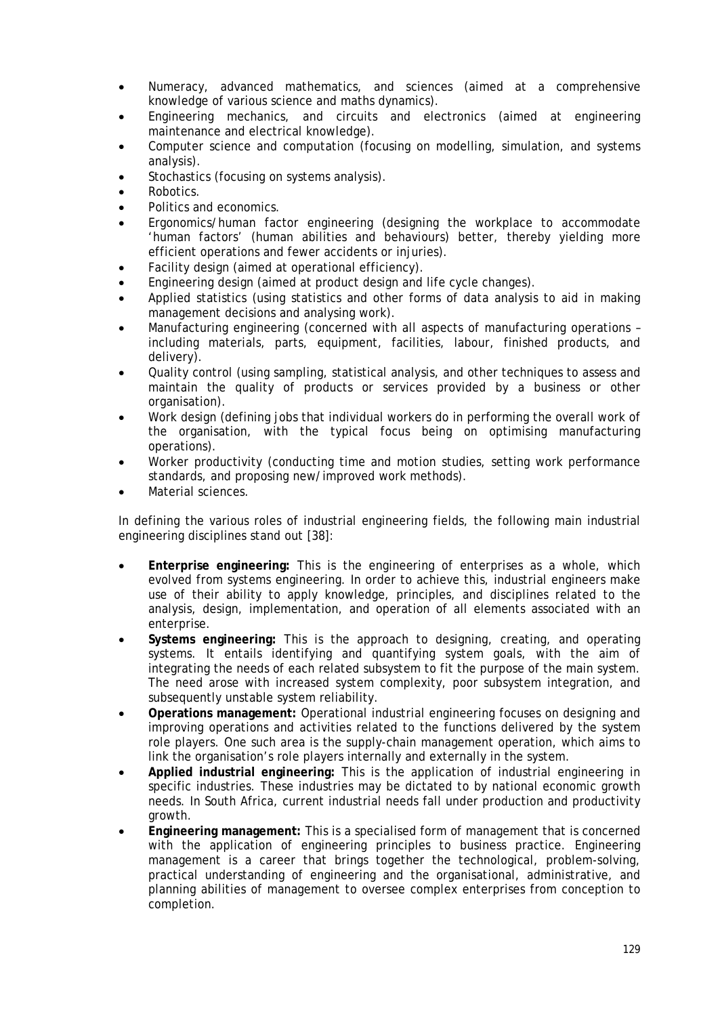- Numeracy, advanced mathematics, and sciences (aimed at a comprehensive knowledge of various science and maths dynamics).
- Engineering mechanics, and circuits and electronics (aimed at engineering maintenance and electrical knowledge).
- Computer science and computation (focusing on modelling, simulation, and systems analysis).
- Stochastics (focusing on systems analysis).
- Robotics.
- Politics and economics.
- Ergonomics/human factor engineering (designing the workplace to accommodate 'human factors' (human abilities and behaviours) better, thereby yielding more efficient operations and fewer accidents or injuries).
- Facility design (aimed at operational efficiency).
- Engineering design (aimed at product design and life cycle changes).
- Applied statistics (using statistics and other forms of data analysis to aid in making management decisions and analysing work).
- Manufacturing engineering (concerned with all aspects of manufacturing operations including materials, parts, equipment, facilities, labour, finished products, and delivery).
- Quality control (using sampling, statistical analysis, and other techniques to assess and maintain the quality of products or services provided by a business or other organisation).
- Work design (defining jobs that individual workers do in performing the overall work of the organisation, with the typical focus being on optimising manufacturing operations).
- Worker productivity (conducting time and motion studies, setting work performance standards, and proposing new/improved work methods).
- Material sciences.

In defining the various roles of industrial engineering fields, the following main industrial engineering disciplines stand out [38]:

- **Enterprise engineering:** This is the engineering of enterprises as a whole, which evolved from systems engineering. In order to achieve this, industrial engineers make use of their ability to apply knowledge, principles, and disciplines related to the analysis, design, implementation, and operation of all elements associated with an enterprise.
- **Systems engineering:** This is the approach to designing, creating, and operating systems. It entails identifying and quantifying system goals, with the aim of integrating the needs of each related subsystem to fit the purpose of the main system. The need arose with increased system complexity, poor subsystem integration, and subsequently unstable system reliability.
- **Operations management:** Operational industrial engineering focuses on designing and improving operations and activities related to the functions delivered by the system role players. One such area is the supply-chain management operation, which aims to link the organisation's role players internally and externally in the system.
- **Applied industrial engineering:** This is the application of industrial engineering in specific industries. These industries may be dictated to by national economic growth needs. In South Africa, current industrial needs fall under production and productivity growth.
- **Engineering management:** This is a specialised form of management that is concerned with the application of engineering principles to business practice. Engineering management is a career that brings together the technological, problem-solving, practical understanding of engineering and the organisational, administrative, and planning abilities of management to oversee complex enterprises from conception to completion.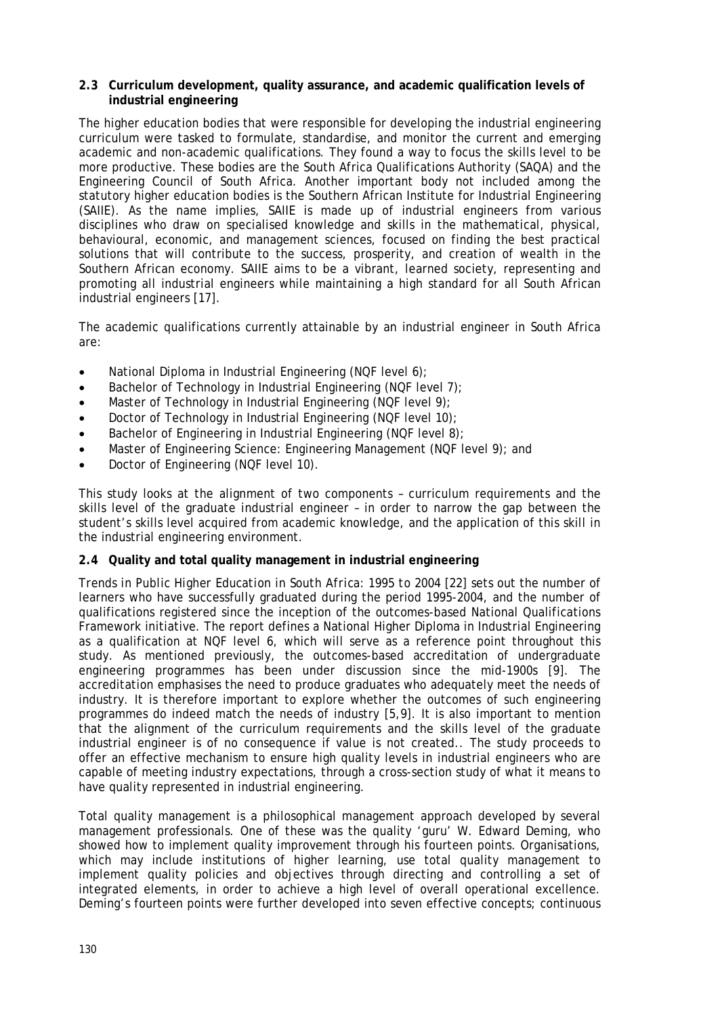#### **2.3 Curriculum development, quality assurance, and academic qualification levels of industrial engineering**

The higher education bodies that were responsible for developing the industrial engineering curriculum were tasked to formulate, standardise, and monitor the current and emerging academic and non-academic qualifications. They found a way to focus the skills level to be more productive. These bodies are the South Africa Qualifications Authority (SAQA) and the Engineering Council of South Africa. Another important body not included among the statutory higher education bodies is the Southern African Institute for Industrial Engineering (SAIIE). As the name implies, SAIIE is made up of industrial engineers from various disciplines who draw on specialised knowledge and skills in the mathematical, physical, behavioural, economic, and management sciences, focused on finding the best practical solutions that will contribute to the success, prosperity, and creation of wealth in the Southern African economy. SAIIE aims to be a vibrant, learned society, representing and promoting all industrial engineers while maintaining a high standard for all South African industrial engineers [17].

The academic qualifications currently attainable by an industrial engineer in South Africa are:

- National Diploma in Industrial Engineering (NQF level 6);
- Bachelor of Technology in Industrial Engineering (NQF level 7);
- Master of Technology in Industrial Engineering (NQF level 9);
- Doctor of Technology in Industrial Engineering (NQF level 10);
- Bachelor of Engineering in Industrial Engineering (NQF level 8);
- Master of Engineering Science: Engineering Management (NQF level 9); and
- Doctor of Engineering (NQF level 10).

This study looks at the alignment of two components – curriculum requirements and the skills level of the graduate industrial engineer – in order to narrow the gap between the student's skills level acquired from academic knowledge, and the application of this skill in the industrial engineering environment.

#### **2.4 Quality and total quality management in industrial engineering**

*Trends in Public Higher Education in South Africa: 1995 to 2004* [22] sets out the number of learners who have successfully graduated during the period 1995-2004, and the number of qualifications registered since the inception of the outcomes-based National Qualifications Framework initiative. The report defines a National Higher Diploma in Industrial Engineering as a qualification at NQF level 6, which will serve as a reference point throughout this study. As mentioned previously, the outcomes-based accreditation of undergraduate engineering programmes has been under discussion since the mid-1900s [9]. The accreditation emphasises the need to produce graduates who adequately meet the needs of industry. It is therefore important to explore whether the outcomes of such engineering programmes do indeed match the needs of industry [5,9]. It is also important to mention that the alignment of the curriculum requirements and the skills level of the graduate industrial engineer is of no consequence if value is not created.. The study proceeds to offer an effective mechanism to ensure high quality levels in industrial engineers who are capable of meeting industry expectations, through a cross-section study of what it means to have quality represented in industrial engineering.

Total quality management is a philosophical management approach developed by several management professionals. One of these was the quality 'guru' W. Edward Deming, who showed how to implement quality improvement through his fourteen points. Organisations, which may include institutions of higher learning, use total quality management to implement quality policies and objectives through directing and controlling a set of integrated elements, in order to achieve a high level of overall operational excellence. Deming's fourteen points were further developed into seven effective concepts; continuous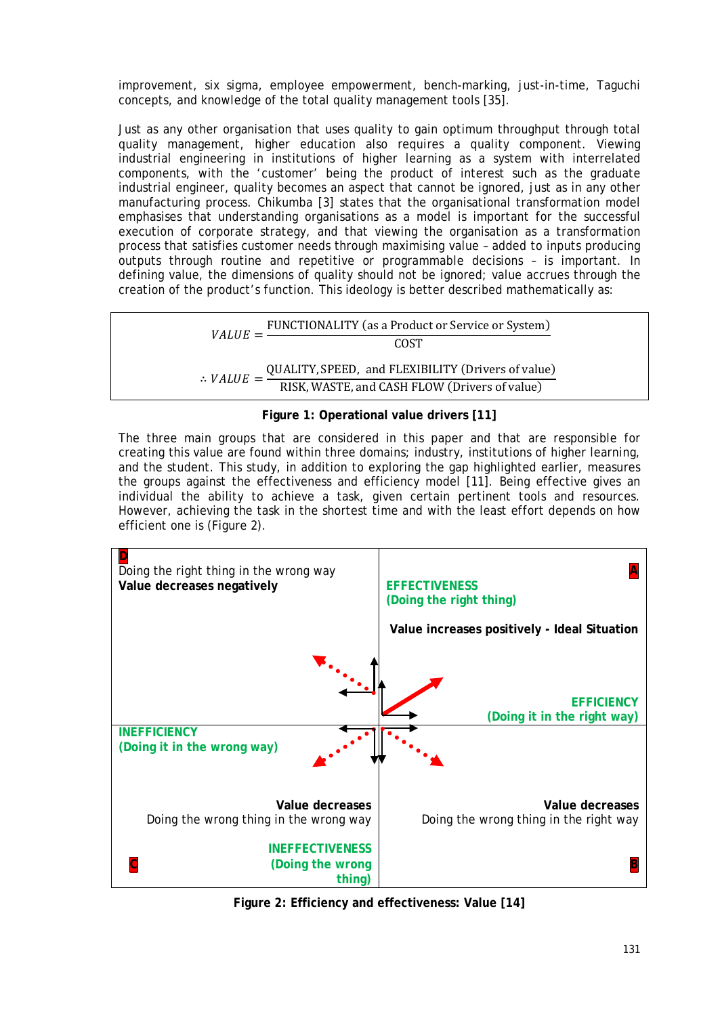improvement, six sigma, employee empowerment, bench-marking, just-in-time, Taguchi concepts, and knowledge of the total quality management tools [35].

Just as any other organisation that uses quality to gain optimum throughput through total quality management, higher education also requires a quality component. Viewing industrial engineering in institutions of higher learning as a system with interrelated components, with the 'customer' being the product of interest such as the graduate industrial engineer, quality becomes an aspect that cannot be ignored, just as in any other manufacturing process. Chikumba [3] states that the organisational transformation model emphasises that understanding organisations as a model is important for the successful execution of corporate strategy, and that viewing the organisation as a transformation process that satisfies customer needs through maximising value – added to inputs producing outputs through routine and repetitive or programmable decisions – is important. In defining value, the dimensions of quality should not be ignored; value accrues through the creation of the product's function. This ideology is better described mathematically as:



# The three main groups that are considered in this paper and that are responsible for creating this value are found within three domains; industry, institutions of higher learning, and the student. This study, in addition to exploring the gap highlighted earlier, measures the groups against the effectiveness and efficiency model [11]. Being effective gives an

individual the ability to achieve a task, given certain pertinent tools and resources. However, achieving the task in the shortest time and with the least effort depends on how efficient one is (Figure 2).



**Figure 2: Efficiency and effectiveness: Value [14]**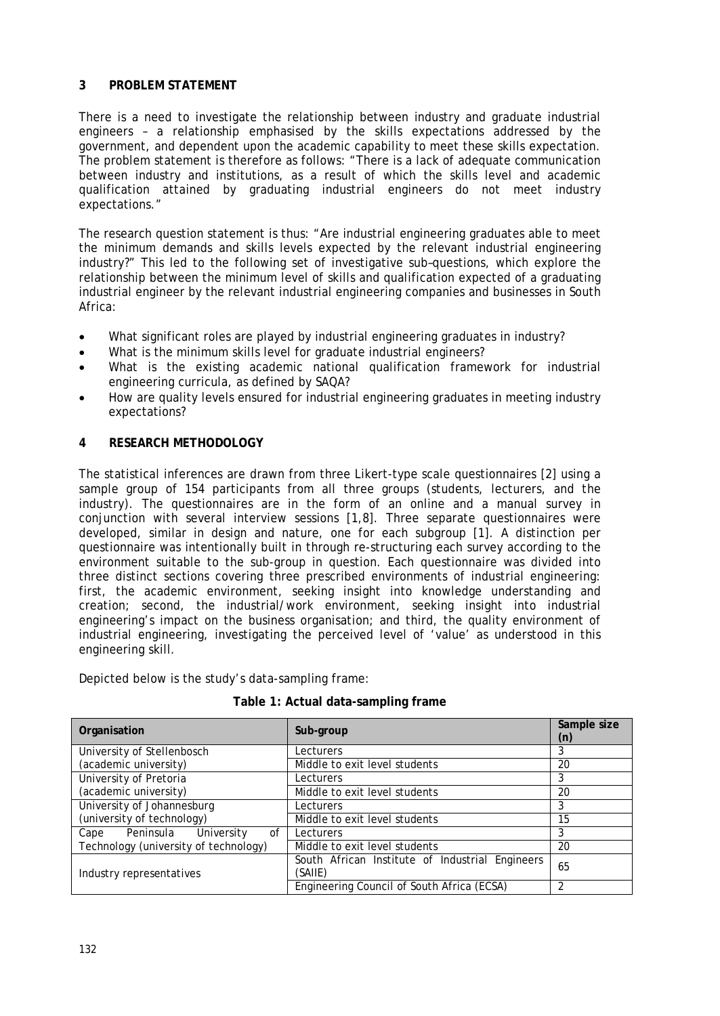#### **3 PROBLEM STATEMENT**

There is a need to investigate the relationship between industry and graduate industrial engineers – a relationship emphasised by the skills expectations addressed by the government, and dependent upon the academic capability to meet these skills expectation. The problem statement is therefore as follows: "There is a lack of adequate communication between industry and institutions, as a result of which the skills level and academic qualification attained by graduating industrial engineers do not meet industry expectations."

The research question statement is thus: "Are industrial engineering graduates able to meet the minimum demands and skills levels expected by the relevant industrial engineering industry?" This led to the following set of investigative sub–questions, which explore the relationship between the minimum level of skills and qualification expected of a graduating industrial engineer by the relevant industrial engineering companies and businesses in South Africa:

- What significant roles are played by industrial engineering graduates in industry?
- What is the minimum skills level for graduate industrial engineers?
- What is the existing academic national qualification framework for industrial engineering curricula, as defined by SAQA?
- How are quality levels ensured for industrial engineering graduates in meeting industry expectations?

# **4 RESEARCH METHODOLOGY**

The statistical inferences are drawn from three Likert-type scale questionnaires [2] using a sample group of 154 participants from all three groups (students, lecturers, and the industry). The questionnaires are in the form of an online and a manual survey in conjunction with several interview sessions [1,8]. Three separate questionnaires were developed, similar in design and nature, one for each subgroup [1]. A distinction per questionnaire was intentionally built in through re-structuring each survey according to the environment suitable to the sub-group in question. Each questionnaire was divided into three distinct sections covering three prescribed environments of industrial engineering: first, the academic environment, seeking insight into knowledge understanding and creation; second, the industrial/work environment, seeking insight into industrial engineering's impact on the business organisation; and third, the quality environment of industrial engineering, investigating the perceived level of 'value' as understood in this engineering skill.

Depicted below is the study's data-sampling frame:

| Organisation                          | Sub-group                                       | Sample size<br>(n) |
|---------------------------------------|-------------------------------------------------|--------------------|
| University of Stellenbosch            | Lecturers                                       |                    |
| (academic university)                 | Middle to exit level students                   | 20                 |
| University of Pretoria                | Lecturers                                       |                    |
| (academic university)                 | Middle to exit level students                   | 20                 |
| University of Johannesburg            | Lecturers                                       |                    |
| (university of technology)            | Middle to exit level students                   | 15                 |
| Cape Peninsula University<br>of       | Lecturers                                       |                    |
| Technology (university of technology) | Middle to exit level students                   | 20                 |
|                                       | South African Institute of Industrial Engineers | 65                 |
| Industry representatives              | (SAIIE)                                         |                    |
|                                       | Engineering Council of South Africa (ECSA)      |                    |

**Table 1: Actual data-sampling frame**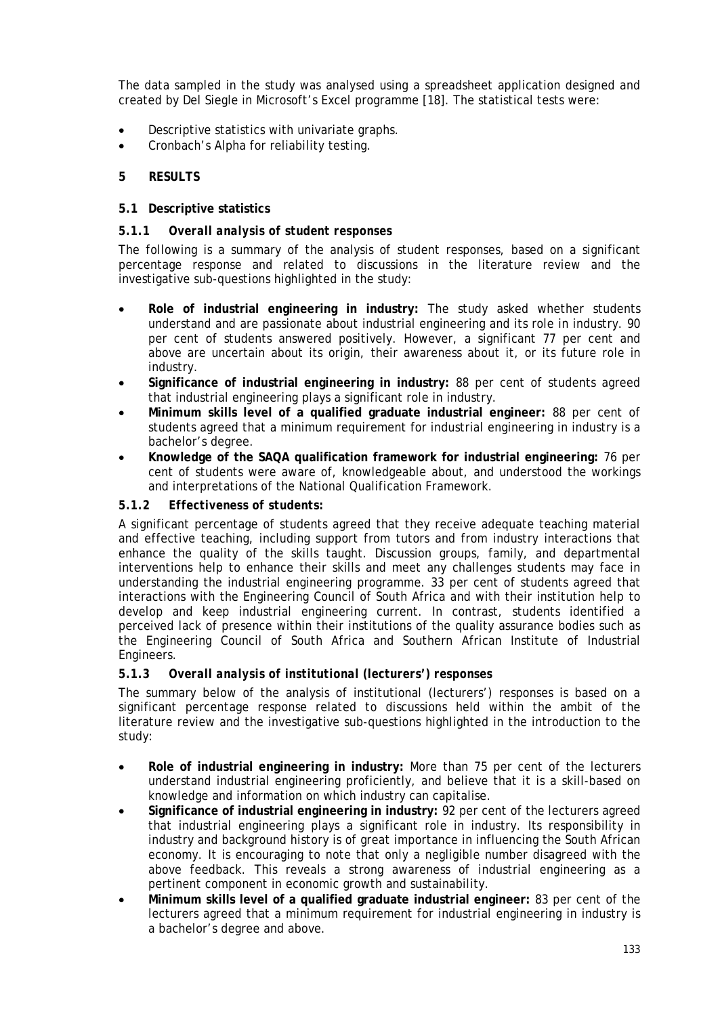The data sampled in the study was analysed using a spreadsheet application designed and created by Del Siegle in Microsoft's Excel programme [18]. The statistical tests were:

- Descriptive statistics with univariate graphs.
- Cronbach's Alpha for reliability testing.

# **5 RESULTS**

#### **5.1 Descriptive statistics**

#### *5.1.1 Overall analysis of student responses*

The following is a summary of the analysis of student responses, based on a significant percentage response and related to discussions in the literature review and the investigative sub-questions highlighted in the study:

- **Role of industrial engineering in industry:** The study asked whether students understand and are passionate about industrial engineering and its role in industry. 90 per cent of students answered positively. However, a significant 77 per cent and above are uncertain about its origin, their awareness about it, or its future role in industry.
- **Significance of industrial engineering in industry:** 88 per cent of students agreed that industrial engineering plays a significant role in industry.
- **Minimum skills level of a qualified graduate industrial engineer:** 88 per cent of students agreed that a minimum requirement for industrial engineering in industry is a bachelor's degree.
- **Knowledge of the SAQA qualification framework for industrial engineering:** 76 per cent of students were aware of, knowledgeable about, and understood the workings and interpretations of the National Qualification Framework.

#### *5.1.2 Effectiveness of students:*

A significant percentage of students agreed that they receive adequate teaching material and effective teaching, including support from tutors and from industry interactions that enhance the quality of the skills taught. Discussion groups, family, and departmental interventions help to enhance their skills and meet any challenges students may face in understanding the industrial engineering programme. 33 per cent of students agreed that interactions with the Engineering Council of South Africa and with their institution help to develop and keep industrial engineering current. In contrast, students identified a perceived lack of presence within their institutions of the quality assurance bodies such as the Engineering Council of South Africa and Southern African Institute of Industrial Engineers.

#### *5.1.3 Overall analysis of institutional (lecturers') responses*

The summary below of the analysis of institutional (lecturers') responses is based on a significant percentage response related to discussions held within the ambit of the literature review and the investigative sub-questions highlighted in the introduction to the study:

- **Role of industrial engineering in industry:** More than 75 per cent of the lecturers understand industrial engineering proficiently, and believe that it is a skill-based on knowledge and information on which industry can capitalise.
- **Significance of industrial engineering in industry:** 92 per cent of the lecturers agreed that industrial engineering plays a significant role in industry. Its responsibility in industry and background history is of great importance in influencing the South African economy. It is encouraging to note that only a negligible number disagreed with the above feedback. This reveals a strong awareness of industrial engineering as a pertinent component in economic growth and sustainability.
- **Minimum skills level of a qualified graduate industrial engineer:** 83 per cent of the lecturers agreed that a minimum requirement for industrial engineering in industry is a bachelor's degree and above.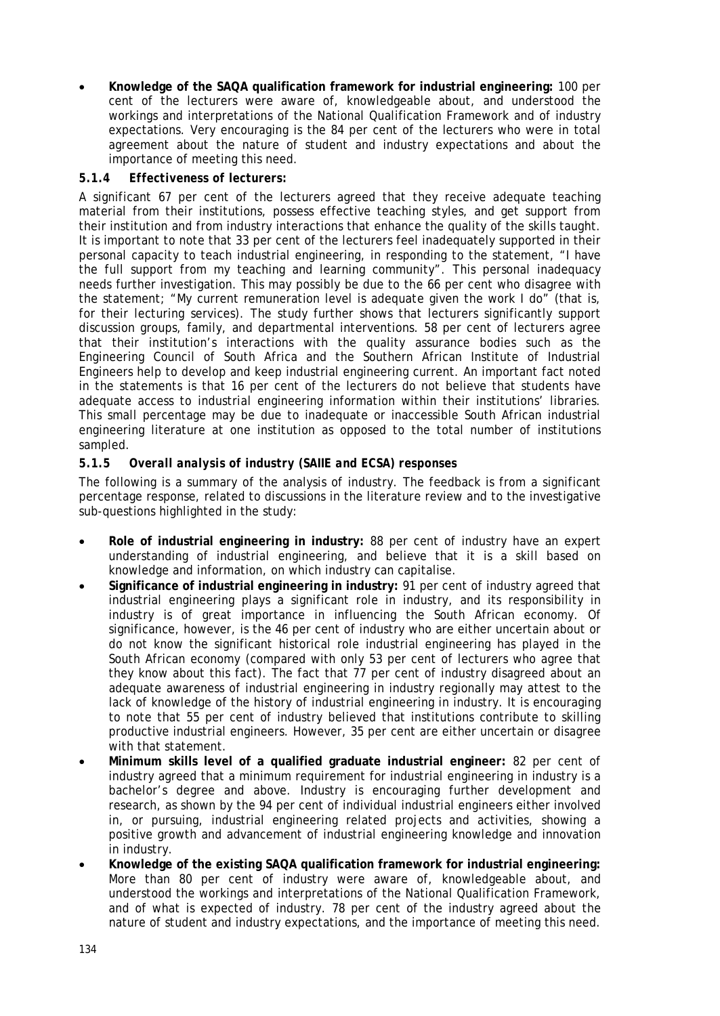• **Knowledge of the SAQA qualification framework for industrial engineering:** 100 per cent of the lecturers were aware of, knowledgeable about, and understood the workings and interpretations of the National Qualification Framework and of industry expectations. Very encouraging is the 84 per cent of the lecturers who were in total agreement about the nature of student and industry expectations and about the importance of meeting this need.

# *5.1.4 Effectiveness of lecturers:*

A significant 67 per cent of the lecturers agreed that they receive adequate teaching material from their institutions, possess effective teaching styles, and get support from their institution and from industry interactions that enhance the quality of the skills taught. It is important to note that 33 per cent of the lecturers feel inadequately supported in their personal capacity to teach industrial engineering, in responding to the statement, "I have the full support from my teaching and learning community". This personal inadequacy needs further investigation. This may possibly be due to the 66 per cent who disagree with the statement; "My current remuneration level is adequate given the work I do" (that is, for their lecturing services). The study further shows that lecturers significantly support discussion groups, family, and departmental interventions. 58 per cent of lecturers agree that their institution's interactions with the quality assurance bodies such as the Engineering Council of South Africa and the Southern African Institute of Industrial Engineers help to develop and keep industrial engineering current. An important fact noted in the statements is that 16 per cent of the lecturers do not believe that students have adequate access to industrial engineering information within their institutions' libraries. This small percentage may be due to inadequate or inaccessible South African industrial engineering literature at one institution as opposed to the total number of institutions sampled.

# *5.1.5 Overall analysis of industry (SAIIE and ECSA) responses*

The following is a summary of the analysis of industry. The feedback is from a significant percentage response, related to discussions in the literature review and to the investigative sub-questions highlighted in the study:

- **Role of industrial engineering in industry:** 88 per cent of industry have an expert understanding of industrial engineering, and believe that it is a skill based on knowledge and information, on which industry can capitalise.
- **Significance of industrial engineering in industry:** 91 per cent of industry agreed that industrial engineering plays a significant role in industry, and its responsibility in industry is of great importance in influencing the South African economy. Of significance, however, is the 46 per cent of industry who are either uncertain about or do not know the significant historical role industrial engineering has played in the South African economy (compared with only 53 per cent of lecturers who agree that they know about this fact). The fact that 77 per cent of industry disagreed about an adequate awareness of industrial engineering in industry regionally may attest to the lack of knowledge of the history of industrial engineering in industry. It is encouraging to note that 55 per cent of industry believed that institutions contribute to skilling productive industrial engineers. However, 35 per cent are either uncertain or disagree with that statement.
- **Minimum skills level of a qualified graduate industrial engineer:** 82 per cent of industry agreed that a minimum requirement for industrial engineering in industry is a bachelor's degree and above. Industry is encouraging further development and research, as shown by the 94 per cent of individual industrial engineers either involved in, or pursuing, industrial engineering related projects and activities, showing a positive growth and advancement of industrial engineering knowledge and innovation in industry.
- **Knowledge of the existing SAQA qualification framework for industrial engineering:** More than 80 per cent of industry were aware of, knowledgeable about, and understood the workings and interpretations of the National Qualification Framework, and of what is expected of industry. 78 per cent of the industry agreed about the nature of student and industry expectations, and the importance of meeting this need.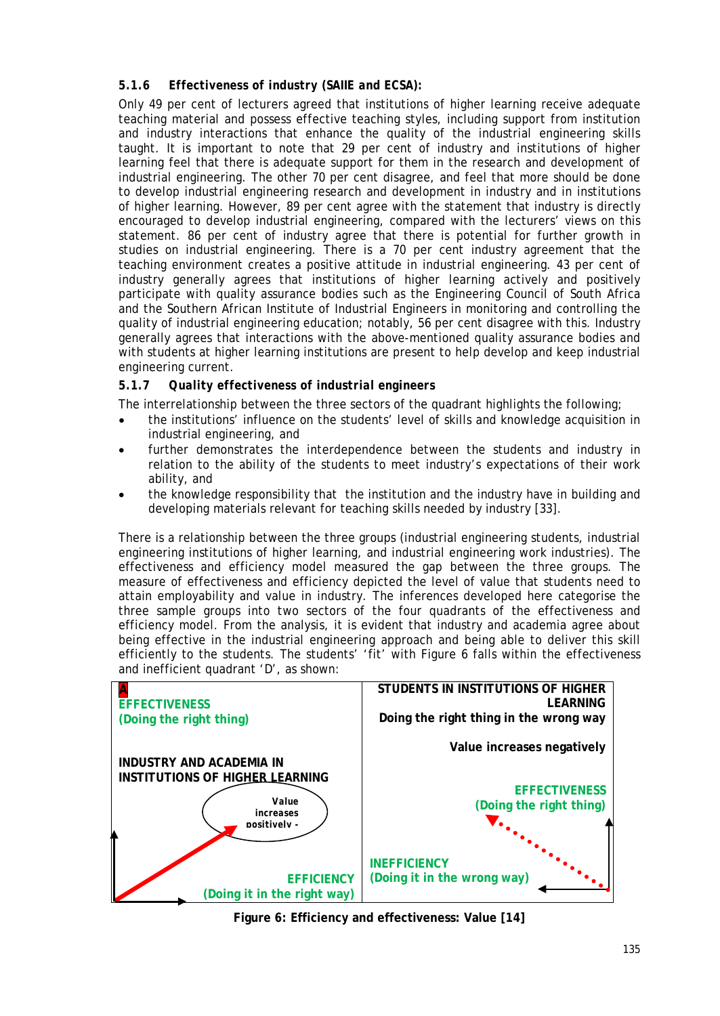# *5.1.6 Effectiveness of industry (SAIIE and ECSA):*

Only 49 per cent of lecturers agreed that institutions of higher learning receive adequate teaching material and possess effective teaching styles, including support from institution and industry interactions that enhance the quality of the industrial engineering skills taught. It is important to note that 29 per cent of industry and institutions of higher learning feel that there is adequate support for them in the research and development of industrial engineering. The other 70 per cent disagree, and feel that more should be done to develop industrial engineering research and development in industry and in institutions of higher learning. However, 89 per cent agree with the statement that industry is directly encouraged to develop industrial engineering, compared with the lecturers' views on this statement. 86 per cent of industry agree that there is potential for further growth in studies on industrial engineering. There is a 70 per cent industry agreement that the teaching environment creates a positive attitude in industrial engineering. 43 per cent of industry generally agrees that institutions of higher learning actively and positively participate with quality assurance bodies such as the Engineering Council of South Africa and the Southern African Institute of Industrial Engineers in monitoring and controlling the quality of industrial engineering education; notably, 56 per cent disagree with this. Industry generally agrees that interactions with the above-mentioned quality assurance bodies and with students at higher learning institutions are present to help develop and keep industrial engineering current.

# *5.1.7 Quality effectiveness of industrial engineers*

The interrelationship between the three sectors of the quadrant highlights the following;

- the institutions' influence on the students' level of skills and knowledge acquisition in industrial engineering, and
- further demonstrates the interdependence between the students and industry in relation to the ability of the students to meet industry's expectations of their work ability, and
- the knowledge responsibility that the institution and the industry have in building and developing materials relevant for teaching skills needed by industry [33].

There is a relationship between the three groups (industrial engineering students, industrial engineering institutions of higher learning, and industrial engineering work industries). The effectiveness and efficiency model measured the gap between the three groups. The measure of effectiveness and efficiency depicted the level of value that students need to attain employability and value in industry. The inferences developed here categorise the three sample groups into two sectors of the four quadrants of the effectiveness and efficiency model. From the analysis, it is evident that industry and academia agree about being effective in the industrial engineering approach and being able to deliver this skill efficiently to the students. The students' 'fit' with Figure 6 falls within the effectiveness and inefficient quadrant 'D', as shown:



**Figure 6: Efficiency and effectiveness: Value [14]**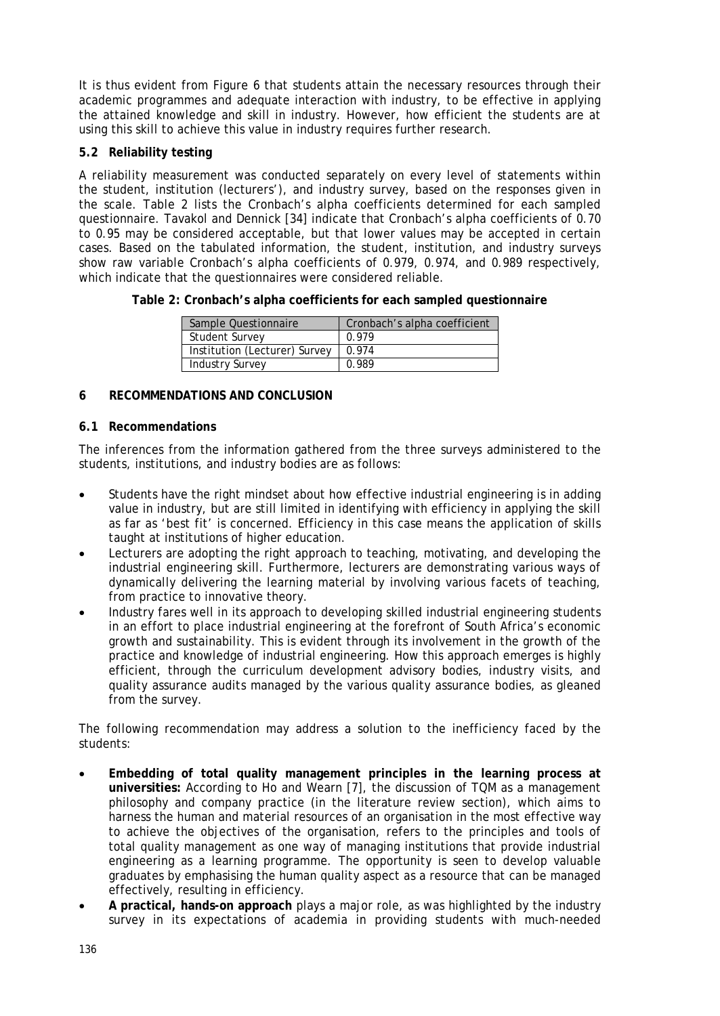It is thus evident from Figure 6 that students attain the necessary resources through their academic programmes and adequate interaction with industry, to be effective in applying the attained knowledge and skill in industry. However, how efficient the students are at using this skill to achieve this value in industry requires further research.

# **5.2 Reliability testing**

A reliability measurement was conducted separately on every level of statements within the student, institution (lecturers'), and industry survey, based on the responses given in the scale. Table 2 lists the Cronbach's alpha coefficients determined for each sampled questionnaire. Tavakol and Dennick [34] indicate that Cronbach's alpha coefficients of 0.70 to 0.95 may be considered acceptable, but that lower values may be accepted in certain cases. Based on the tabulated information, the student, institution, and industry surveys show raw variable Cronbach's alpha coefficients of 0.979, 0.974, and 0.989 respectively, which indicate that the questionnaires were considered reliable.

**Table 2: Cronbach's alpha coefficients for each sampled questionnaire** 

| Sample Questionnaire          | Cronbach's alpha coefficient |  |
|-------------------------------|------------------------------|--|
| <b>Student Survey</b>         | 0.979                        |  |
| Institution (Lecturer) Survey | 0.974                        |  |
| <b>Industry Survey</b>        | 0.989                        |  |

# **6 RECOMMENDATIONS AND CONCLUSION**

# **6.1 Recommendations**

The inferences from the information gathered from the three surveys administered to the students, institutions, and industry bodies are as follows:

- Students have the right mindset about how effective industrial engineering is in adding value in industry, but are still limited in identifying with efficiency in applying the skill as far as 'best fit' is concerned. Efficiency in this case means the application of skills taught at institutions of higher education.
- Lecturers are adopting the right approach to teaching, motivating, and developing the industrial engineering skill. Furthermore, lecturers are demonstrating various ways of dynamically delivering the learning material by involving various facets of teaching, from practice to innovative theory.
- Industry fares well in its approach to developing skilled industrial engineering students in an effort to place industrial engineering at the forefront of South Africa's economic growth and sustainability. This is evident through its involvement in the growth of the practice and knowledge of industrial engineering. How this approach emerges is highly efficient, through the curriculum development advisory bodies, industry visits, and quality assurance audits managed by the various quality assurance bodies, as gleaned from the survey.

The following recommendation may address a solution to the inefficiency faced by the students:

- **Embedding of total quality management principles in the learning process at universities:** According to Ho and Wearn [7], the discussion of TQM as a management philosophy and company practice (in the literature review section), which aims to harness the human and material resources of an organisation in the most effective way to achieve the objectives of the organisation, refers to the principles and tools of total quality management as one way of managing institutions that provide industrial engineering as a learning programme. The opportunity is seen to develop valuable graduates by emphasising the human quality aspect as a resource that can be managed effectively, resulting in efficiency.
- **A practical, hands-on approach** plays a major role, as was highlighted by the industry survey in its expectations of academia in providing students with much-needed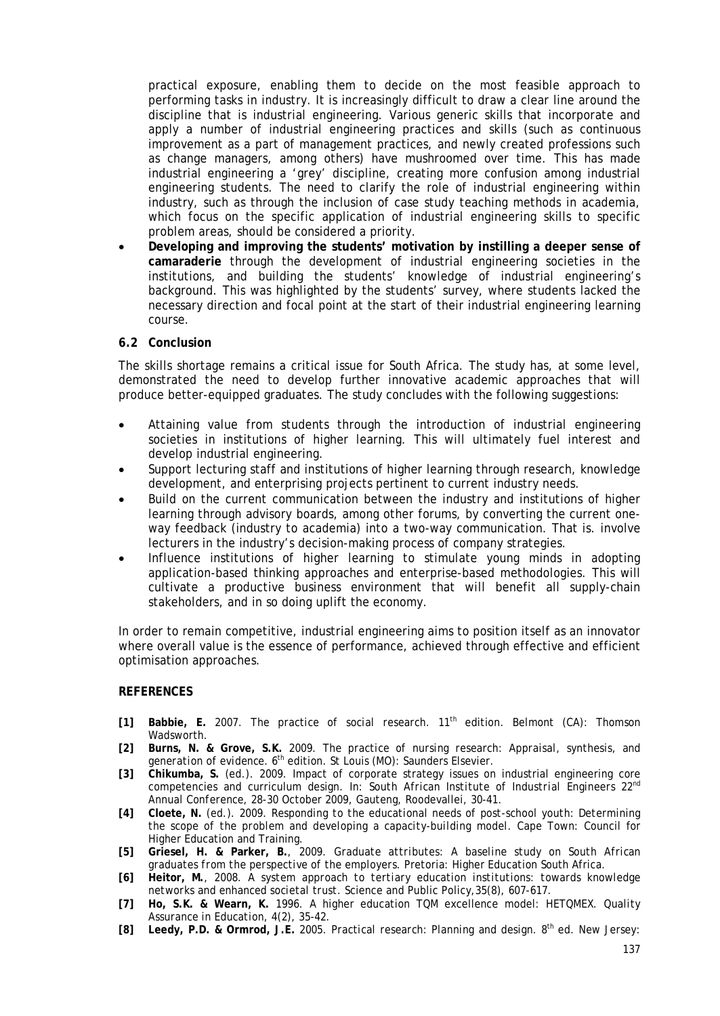practical exposure, enabling them to decide on the most feasible approach to performing tasks in industry. It is increasingly difficult to draw a clear line around the discipline that is industrial engineering. Various generic skills that incorporate and apply a number of industrial engineering practices and skills (such as continuous improvement as a part of management practices, and newly created professions such as change managers, among others) have mushroomed over time. This has made industrial engineering a 'grey' discipline, creating more confusion among industrial engineering students. The need to clarify the role of industrial engineering within industry, such as through the inclusion of case study teaching methods in academia, which focus on the specific application of industrial engineering skills to specific problem areas, should be considered a priority.

• **Developing and improving the students' motivation by instilling a deeper sense of camaraderie** through the development of industrial engineering societies in the institutions, and building the students' knowledge of industrial engineering's background. This was highlighted by the students' survey, where students lacked the necessary direction and focal point at the start of their industrial engineering learning course.

#### **6.2 Conclusion**

The skills shortage remains a critical issue for South Africa. The study has, at some level, demonstrated the need to develop further innovative academic approaches that will produce better-equipped graduates. The study concludes with the following suggestions:

- Attaining value from students through the introduction of industrial engineering societies in institutions of higher learning. This will ultimately fuel interest and develop industrial engineering.
- Support lecturing staff and institutions of higher learning through research, knowledge development, and enterprising projects pertinent to current industry needs.
- Build on the current communication between the industry and institutions of higher learning through advisory boards, among other forums, by converting the current oneway feedback (industry to academia) into a two-way communication. That is. involve lecturers in the industry's decision-making process of company strategies.
- Influence institutions of higher learning to stimulate young minds in adopting application-based thinking approaches and enterprise-based methodologies. This will cultivate a productive business environment that will benefit all supply-chain stakeholders, and in so doing uplift the economy.

In order to remain competitive, industrial engineering aims to position itself as an innovator where overall value is the essence of performance, achieved through effective and efficient optimisation approaches.

#### **REFERENCES**

- **[1] Babbie, E.** 2007. *The practice of social research*. 11th edition. Belmont (CA): Thomson Wadsworth.
- **[2] Burns, N. & Grove, S.K.** 2009. *The practice of nursing research: Appraisal, synthesis, and generation of evidence*. 6th edition. St Louis (MO): Saunders Elsevier.
- **[3] Chikumba, S.** (ed.). 2009. Impact of corporate strategy issues on industrial engineering core competencies and curriculum design. In: *South African Institute of Industrial Engineers 22nd Annual Conference*, 28-30 October 2009, Gauteng, Roodevallei, 30-41.
- **[4] Cloete, N.** (ed.). 2009. *Responding to the educational needs of post-school youth: Determining the scope of the problem and developing a capacity-building model*. Cape Town: Council for Higher Education and Training.
- **[5] Griesel, H. & Parker, B.**, 2009. *Graduate attributes: A baseline study on South African graduates from the perspective of the employers*. Pretoria: Higher Education South Africa.
- **[6] Heitor, M.**, 2008. *A system approach to tertiary education institutions: towards knowledge networks and enhanced societal trust*. Science and Public Policy,35(8), 607-617.
- **[7] Ho, S.K. & Wearn, K.** 1996. A higher education TQM excellence model: HETQMEX. *Quality Assurance in Education*, 4(2), 35-42.
- **[8] Leedy, P.D. & Ormrod, J.E.** 2005. *Practical research: Planning and design*. 8th ed. New Jersey: